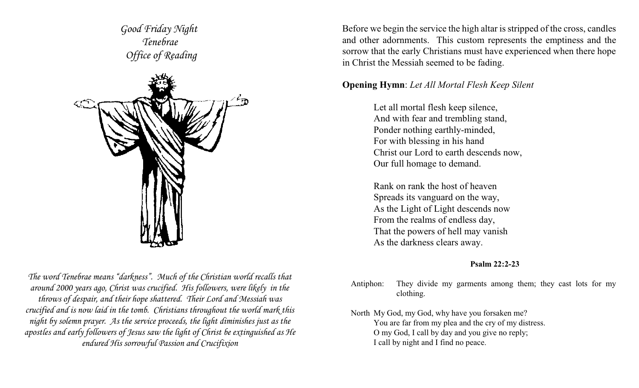*Good Friday Night Tenebrae Office of Reading*



*The word Tenebrae means "darkness". Much of the Christian world recalls that around 2000 years ago, Christ was crucified. His followers, were likely in the throws of despair, and their hope shattered. Their Lord and Messiah was crucified and is now laid in the tomb. Christians throughout the world mark this night by solemn prayer. As the service proceeds, the light diminishes just as the apostles and early followers of Jesus saw the light of Christ be extinguished as He endured His sorrowful Passion and Crucifixion*

Before we begin the service the high altar is stripped of the cross, candles and other adornments. This custom represents the emptiness and the sorrow that the early Christians must have experienced when there hope in Christ the Messiah seemed to be fading.

# **Opening Hymn**: *Let All Mortal Flesh Keep Silent*

Let all mortal flesh keep silence, And with fear and trembling stand, Ponder nothing earthly-minded, For with blessing in his hand Christ our Lord to earth descends now, Our full homage to demand.

Rank on rank the host of heaven Spreads its vanguard on the way, As the Light of Light descends now From the realms of endless day, That the powers of hell may vanish As the darkness clears away.

# **Psalm 22:2-23**

- Antiphon: They divide my garments among them; they cast lots for my clothing.
- North My God, my God, why have you forsaken me? You are far from my plea and the cry of my distress. O my God, I call by day and you give no reply; I call by night and I find no peace.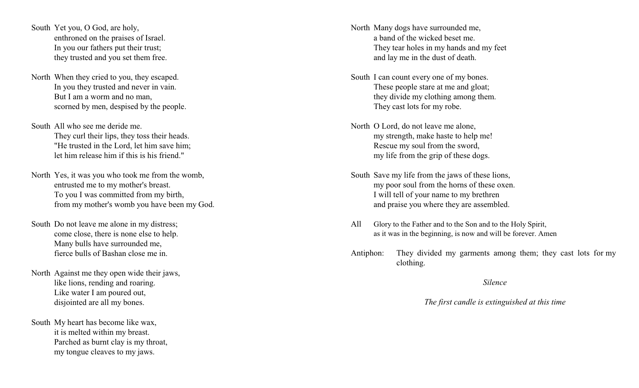South Yet you, O God, are holy, enthroned on the praises of Israel. In you our fathers put their trust; they trusted and you set them free.

- North When they cried to you, they escaped. In you they trusted and never in vain. But I am a worm and no man, scorned by men, despised by the people.
- South All who see me deride me. They curl their lips, they toss their heads. "He trusted in the Lord, let him save him; let him release him if this is his friend."
- North Yes, it was you who took me from the womb, entrusted me to my mother's breast. To you I was committed from my birth, from my mother's womb you have been my God.
- South Do not leave me alone in my distress; come close, there is none else to help. Many bulls have surrounded me, fierce bulls of Bashan close me in.
- North Against me they open wide their jaws, like lions, rending and roaring. Like water I am poured out, disjointed are all my bones.

South My heart has become like wax, it is melted within my breast. Parched as burnt clay is my throat, my tongue cleaves to my jaws.

North Many dogs have surrounded me, a band of the wicked beset me. They tear holes in my hands and my feet and lay me in the dust of death.

- South I can count every one of my bones. These people stare at me and gloat; they divide my clothing among them. They cast lots for my robe.
- North O Lord, do not leave me alone, my strength, make haste to help me! Rescue my soul from the sword, my life from the grip of these dogs.
- South Save my life from the jaws of these lions, my poor soul from the horns of these oxen. I will tell of your name to my brethren and praise you where they are assembled.
- All Glory to the Father and to the Son and to the Holy Spirit, as it was in the beginning, is now and will be forever. Amen
- Antiphon: They divided my garments among them; they cast lots for my clothing.

## *Silence*

## *The first candle is extinguished at this time*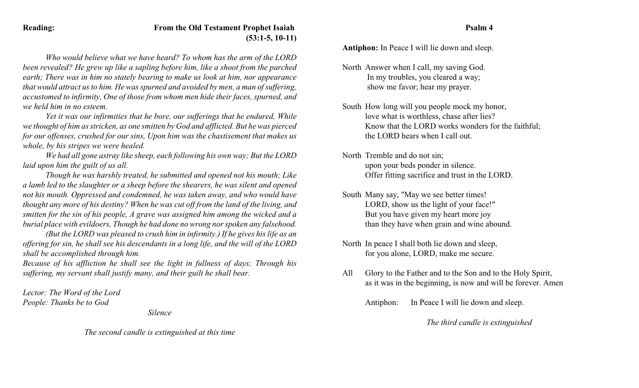# **Reading: From the Old Testament Prophet Isaiah (53:1-5, 10-11)**

*Who would believe what we have heard? To whom has the arm of the LORD been revealed? He grew up like a sapling before him, like a shoot from the parched earth; There was in him no stately bearing to make us look at him, nor appearance that would attract us to him. He was spurned and avoided by men, a man of suffering, accustomed to infirmity, One of those from whom men hide their faces, spurned, and we held him in no esteem.* 

*Yet it was our infirmities that he bore, our sufferings that he endured, While we thought of him as stricken, as one smitten by God and afflicted. But he was pierced for our offenses, crushed for our sins, Upon him was the chastisement that makes us whole, by his stripes we were healed.* 

*We had all gone astray like sheep, each following his own way; But the LORD laid upon him the guilt of us all.* 

*Though he was harshly treated, he submitted and opened not his mouth; Like a lamb led to the slaughter or a sheep before the shearers, he was silent and opened not his mouth. Oppressed and condemned, he was taken away, and who would have thought any more of his destiny? When he was cut off from the land of the living, and smitten for the sin of his people, A grave was assigned him among the wicked and a burial place with evildoers, Though he had done no wrong nor spoken any falsehood.* 

*(But the LORD was pleased to crush him in infirmity.) If he gives his life as an offering for sin, he shall see his descendants in a long life, and the will of the LORD shall be accomplished through him.* 

*Because of his affliction he shall see the light in fullness of days; Through his suffering, my servant shall justify many, and their guilt he shall bear.* 

*Lector: The Word of the Lord People: Thanks be to God*

*Silence*

*The second candle is extinguished at this time*

**Antiphon:** In Peace I will lie down and sleep.

- North Answer when I call, my saving God. In my troubles, you cleared a way; show me favor; hear my prayer.
- South How long will you people mock my honor, love what is worthless, chase after lies? Know that the LORD works wonders for the faithful; the LORD hears when I call out.
- North Tremble and do not sin; upon your beds ponder in silence. Offer fitting sacrifice and trust in the LORD.
- South Many say, "May we see better times! LORD, show us the light of your face!" But you have given my heart more joy than they have when grain and wine abound.
- North In peace I shall both lie down and sleep, for you alone, LORD, make me secure.
- All Glory to the Father and to the Son and to the Holy Spirit, as it was in the beginning, is now and will be forever. Amen

Antiphon: In Peace I will lie down and sleep.

*The third candle is extinguished*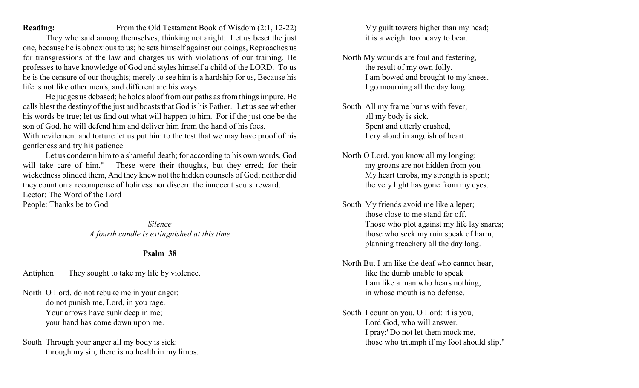### **Reading:** From the Old Testament Book of Wisdom (2:1, 12-22)

They who said among themselves, thinking not aright: Let us beset the just one, because he is obnoxious to us; he sets himself against our doings, Reproaches us for transgressions of the law and charges us with violations of our training. He professes to have knowledge of God and styles himself a child of the LORD. To us he is the censure of our thoughts; merely to see him is a hardship for us, Because his life is not like other men's, and different are his ways.

He judges us debased; he holds aloof from our paths as from things impure. He calls blest the destiny of the just and boasts that God is his Father. Let us see whether his words be true; let us find out what will happen to him. For if the just one be the son of God, he will defend him and deliver him from the hand of his foes. With revilement and torture let us put him to the test that we may have proof of his

gentleness and try his patience.

Let us condemn him to a shameful death; for according to his own words, God will take care of him." These were their thoughts, but they erred; for their wickedness blinded them, And they knew not the hidden counsels of God; neither did they count on a recompense of holiness nor discern the innocent souls' reward. Lector: The Word of the Lord People: Thanks be to God

> *Silence A fourth candle is extinguished at this time*

### **Psalm 38**

Antiphon: They sought to take my life by violence.

North O Lord, do not rebuke me in your anger; do not punish me, Lord, in you rage. Your arrows have sunk deep in me; your hand has come down upon me.

South Through your anger all my body is sick: through my sin, there is no health in my limbs. My guilt towers higher than my head; it is a weight too heavy to bear.

- North My wounds are foul and festering, the result of my own folly. I am bowed and brought to my knees. I go mourning all the day long.
- South All my frame burns with fever; all my body is sick. Spent and utterly crushed, I cry aloud in anguish of heart.
- North O Lord, you know all my longing; my groans are not hidden from you My heart throbs, my strength is spent; the very light has gone from my eyes.
- South My friends avoid me like a leper; those close to me stand far off. Those who plot against my life lay snares; those who seek my ruin speak of harm, planning treachery all the day long.
- North But I am like the deaf who cannot hear, like the dumb unable to speak I am like a man who hears nothing, in whose mouth is no defense.
- South I count on you, O Lord: it is you, Lord God, who will answer. I pray:"Do not let them mock me, those who triumph if my foot should slip."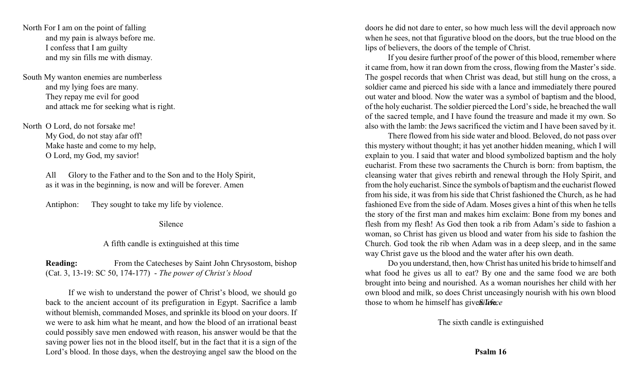North For I am on the point of falling and my pain is always before me. I confess that I am guilty and my sin fills me with dismay.

South My wanton enemies are numberless and my lying foes are many. They repay me evil for good and attack me for seeking what is right.

North O Lord, do not forsake me! My God, do not stay afar off! Make haste and come to my help, O Lord, my God, my savior!

> All Glory to the Father and to the Son and to the Holy Spirit, as it was in the beginning, is now and will be forever. Amen

Antiphon: They sought to take my life by violence.

Silence

### A fifth candle is extinguished at this time

**Reading:** From the Catecheses by Saint John Chrysostom, bishop (Cat. 3, 13-19: SC 50, 174-177) - *The power of Christ's blood*

If we wish to understand the power of Christ's blood, we should go back to the ancient account of its prefiguration in Egypt. Sacrifice a lamb without blemish, commanded Moses, and sprinkle its blood on your doors. If we were to ask him what he meant, and how the blood of an irrational beast could possibly save men endowed with reason, his answer would be that the saving power lies not in the blood itself, but in the fact that it is a sign of the Lord's blood. In those days, when the destroying angel saw the blood on the

doors he did not dare to enter, so how much less will the devil approach now when he sees, not that figurative blood on the doors, but the true blood on the lips of believers, the doors of the temple of Christ.

If you desire further proof of the power of this blood, remember where it came from, how it ran down from the cross, flowing from the Master's side. The gospel records that when Christ was dead, but still hung on the cross, a soldier came and pierced his side with a lance and immediately there poured out water and blood. Now the water was a symbol of baptism and the blood, of the holy eucharist. The soldier pierced the Lord's side, he breached the wall of the sacred temple, and I have found the treasure and made it my own. So also with the lamb: the Jews sacrificed the victim and I have been saved by it.

There flowed from his side water and blood. Beloved, do not pass over this mystery without thought; it has yet another hidden meaning, which I will explain to you. I said that water and blood symbolized baptism and the holy eucharist. From these two sacraments the Church is born: from baptism, the cleansing water that gives rebirth and renewal through the Holy Spirit, and fromthe holy eucharist. Since the symbols of baptismand the eucharist flowed from his side, it was from his side that Christ fashioned the Church, as he had fashioned Eve from the side of Adam. Moses gives a hint of this when he tells the story of the first man and makes him exclaim: Bone from my bones and flesh from my flesh! As God then took a rib from Adam's side to fashion a woman, so Christ has given us blood and water from his side to fashion the Church. God took the rib when Adam was in a deep sleep, and in the same way Christ gave us the blood and the water after his own death.

Do you understand, then, how Christ has united his bride to himself and what food he gives us all to eat? By one and the same food we are both brought into being and nourished. As a woman nourishes her child with her own blood and milk, so does Christ unceasingly nourish with his own blood those to whom he himself has gives *sileities* 

The sixth candle is extinguished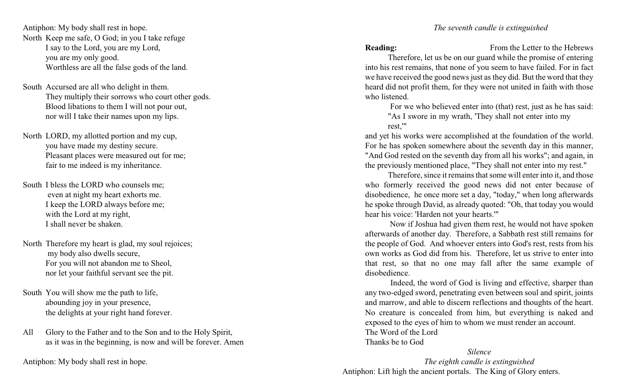Antiphon: My body shall rest in hope. North Keep me safe, O God; in you I take refuge I say to the Lord, you are my Lord, you are my only good. Worthless are all the false gods of the land.

- South Accursed are all who delight in them. They multiply their sorrows who court other gods. Blood libations to them I will not pour out, nor will I take their names upon my lips.
- North LORD, my allotted portion and my cup, you have made my destiny secure. Pleasant places were measured out for me; fair to me indeed is my inheritance.
- South I bless the LORD who counsels me; even at night my heart exhorts me. I keep the LORD always before me; with the Lord at my right, I shall never be shaken.
- North Therefore my heart is glad, my soul rejoices; my body also dwells secure, For you will not abandon me to Sheol, nor let your faithful servant see the pit.
- South You will show me the path to life, abounding joy in your presence, the delights at your right hand forever.
- All Glory to the Father and to the Son and to the Holy Spirit, as it was in the beginning, is now and will be forever. Amen

Antiphon: My body shall rest in hope.

**Reading:** From the Letter to the Hebrews

Therefore, let us be on our guard while the promise of entering into his rest remains, that none of you seem to have failed. For in fact we have received the good news just as they did. But the word that they heard did not profit them, for they were not united in faith with those who listened.

For we who believed enter into (that) rest, just as he has said: "As I swore in my wrath, 'They shall not enter into my rest,'"

and yet his works were accomplished at the foundation of the world. For he has spoken somewhere about the seventh day in this manner, "And God rested on the seventh day from all his works"; and again, in the previously mentioned place, "They shall not enter into my rest."

Therefore, since it remains that some will enter into it, and those who formerly received the good news did not enter because of disobedience, he once more set a day, "today," when long afterwards he spoke through David, as already quoted: "Oh, that today you would hear his voice: 'Harden not your hearts.'"

Now if Joshua had given them rest, he would not have spoken afterwards of another day. Therefore, a Sabbath rest still remains for the people of God. And whoever enters into God's rest, rests from his own works as God did from his. Therefore, let us strive to enter into that rest, so that no one may fall after the same example of disobedience.

Indeed, the word of God is living and effective, sharper than any two-edged sword, penetrating even between soul and spirit, joints and marrow, and able to discern reflections and thoughts of the heart. No creature is concealed from him, but everything is naked and exposed to the eyes of him to whom we must render an account. The Word of the Lord Thanks be to God

*Silence The eighth candle is extinguished* Antiphon: Lift high the ancient portals. The King of Glory enters.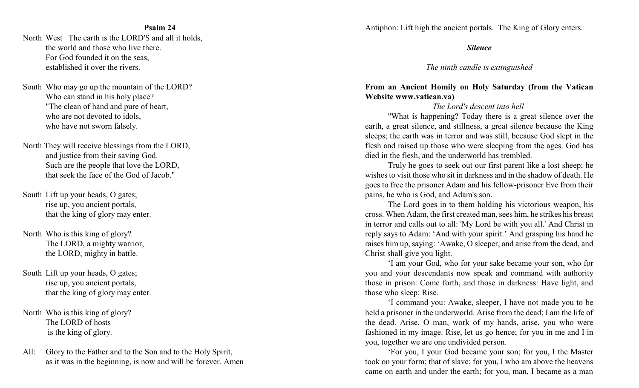#### **Psalm 24**

North West The earth is the LORD'S and all it holds, the world and those who live there. For God founded it on the seas, established it over the rivers.

South Who may go up the mountain of the LORD? Who can stand in his holy place? "The clean of hand and pure of heart, who are not devoted to idols, who have not sworn falsely.

North They will receive blessings from the LORD, and justice from their saving God. Such are the people that love the LORD, that seek the face of the God of Jacob."

South Lift up your heads, O gates; rise up, you ancient portals, that the king of glory may enter.

North Who is this king of glory? The LORD, a mighty warrior, the LORD, mighty in battle.

South Lift up your heads, O gates; rise up, you ancient portals, that the king of glory may enter.

North Who is this king of glory? The LORD of hosts is the king of glory.

All: Glory to the Father and to the Son and to the Holy Spirit, as it was in the beginning, is now and will be forever. Amen Antiphon: Lift high the ancient portals. The King of Glory enters.

*Silence*

*The ninth candle is extinguished*

# **From an Ancient Homily on Holy Saturday (from the Vatican Website www.vatican.va)**

# *The Lord's descent into hell*

"What is happening? Today there is a great silence over the earth, a great silence, and stillness, a great silence because the King sleeps; the earth was in terror and was still, because God slept in the flesh and raised up those who were sleeping from the ages. God has died in the flesh, and the underworld has trembled.

Truly he goes to seek out our first parent like a lost sheep; he wishes to visit those who sit in darkness and in the shadow of death. He goes to free the prisoner Adam and his fellow-prisoner Eve from their pains, he who is God, and Adam's son.

The Lord goes in to them holding his victorious weapon, his cross. When Adam, the first created man, sees him, he strikes his breast in terror and calls out to all: 'My Lord be with you all.' And Christ in reply says to Adam: 'And with your spirit.' And grasping his hand he raises him up, saying: 'Awake, O sleeper, and arise from the dead, and Christ shall give you light.

'I am your God, who for your sake became your son, who for you and your descendants now speak and command with authority those in prison: Come forth, and those in darkness: Have light, and those who sleep: Rise.

'I command you: Awake, sleeper, I have not made you to be held a prisoner in the underworld. Arise from the dead; I am the life of the dead. Arise, O man, work of my hands, arise, you who were fashioned in my image. Rise, let us go hence; for you in me and I in you, together we are one undivided person.

'For you, I your God became your son; for you, I the Master took on your form; that of slave; for you, I who am above the heavens came on earth and under the earth; for you, man, I became as a man